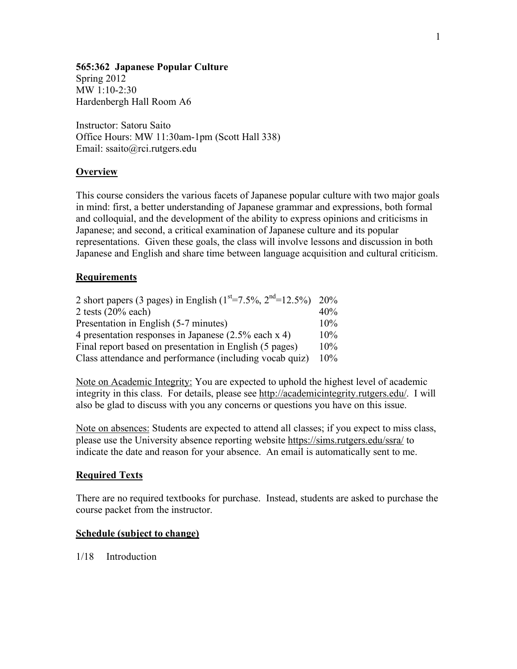#### **565:362 Japanese Popular Culture**

Spring 2012 MW 1:10-2:30 Hardenbergh Hall Room A6

Instructor: Satoru Saito Office Hours: MW 11:30am-1pm (Scott Hall 338) Email: ssaito@rci.rutgers.edu

## **Overview**

This course considers the various facets of Japanese popular culture with two major goals in mind: first, a better understanding of Japanese grammar and expressions, both formal and colloquial, and the development of the ability to express opinions and criticisms in Japanese; and second, a critical examination of Japanese culture and its popular representations. Given these goals, the class will involve lessons and discussion in both Japanese and English and share time between language acquisition and cultural criticism.

## **Requirements**

| 2 short papers (3 pages) in English ( $1st=7.5%$ , $2nd=12.5%$ ) 20% |     |
|----------------------------------------------------------------------|-----|
| 2 tests $(20\%$ each)                                                | 40% |
| Presentation in English (5-7 minutes)                                | 10% |
| 4 presentation responses in Japanese (2.5% each x 4)                 | 10% |
| Final report based on presentation in English (5 pages)              | 10% |
| Class attendance and performance (including vocab quiz)              | 10% |

Note on Academic Integrity: You are expected to uphold the highest level of academic integrity in this class. For details, please see http://academicintegrity.rutgers.edu/. I will also be glad to discuss with you any concerns or questions you have on this issue.

Note on absences: Students are expected to attend all classes; if you expect to miss class, please use the University absence reporting website https://sims.rutgers.edu/ssra/ to indicate the date and reason for your absence. An email is automatically sent to me.

## **Required Texts**

There are no required textbooks for purchase. Instead, students are asked to purchase the course packet from the instructor.

#### **Schedule (subject to change)**

1/18 Introduction